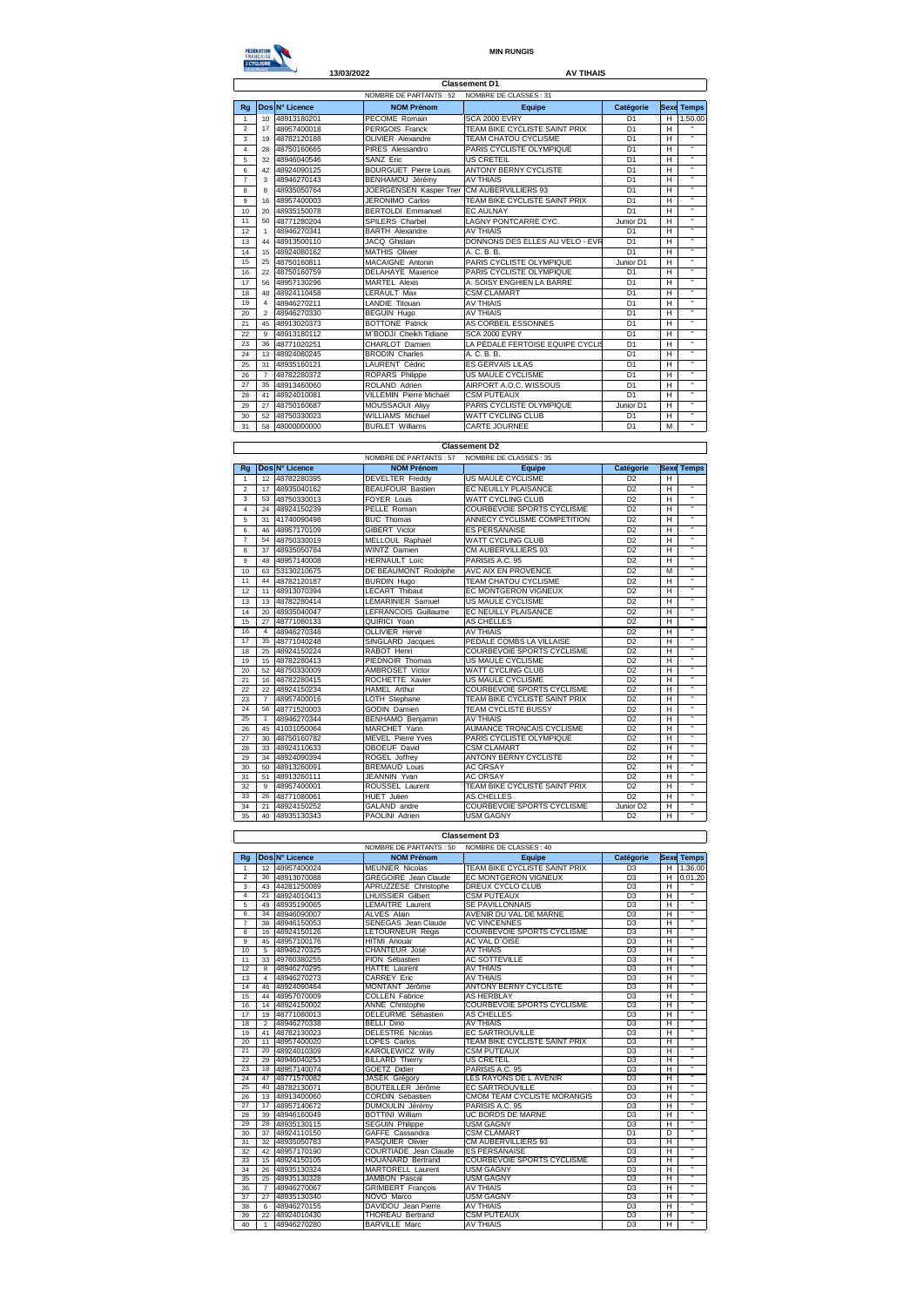## FEDERATION<br>FRAMÇAISE<br>EXERCISME

**MIN RUNGIS**

## **13/03/2022 AV TIHAIS**

| NOMBRE DE PARTANTS: 52<br>NOMBRE DE CLASSES : 31<br>Dos N° Licence<br><b>NOM Prénom</b><br>Catégorie<br>Rg<br>Equipe<br><b>SCA 2000 EVRY</b><br>10 <sup>1</sup><br>PECOME Romain<br>D <sub>1</sub><br>$\mathbf{1}$<br>48913180201<br>TEAM BIKE CYCLISTE SAINT PRIX<br>PERIGOIS Franck<br>D <sub>1</sub><br>$\overline{2}$<br>48957400018<br>17<br>48782120188<br>OLIVIER Alexandre<br>TEAM CHATOU CYCLISME<br>D <sub>1</sub><br>3<br>19<br>$\overline{\mathbf{4}}$<br>PIRES Alessandro<br>PARIS CYCLISTE OLYMPIQUE<br>D <sub>1</sub><br>28<br>48750160665<br><b>US CRETEIL</b><br>D <sub>1</sub><br>5<br>48946040546<br>SANZ Eric<br>32<br><b>BOURGUET Pierre Louis</b><br><b>ANTONY BERNY CYCLISTE</b><br>6<br>42<br>48924090125<br>D <sub>1</sub><br>BENHAMOU Jérémy<br><b>AV THIAIS</b><br>D <sub>1</sub><br>$\overline{7}$<br>48946270143<br>3<br>JOERGENSEN Kasper Trier CM AUBERVILLIERS 93<br>48935050764<br>D <sub>1</sub><br>8<br>8<br>9<br>48957400003<br>JERONIMO Carlos<br>TEAM BIKE CYCLISTE SAINT PRIX<br>D <sub>1</sub><br>16<br>D1<br><b>BERTOLDI Emmanuel</b><br>10<br>48935150078<br><b>FC AULNAY</b><br>20<br>LAGNY PONTCARRE CYC.<br>48771280204<br>SPILERS Charbel<br>Junior D1<br>11<br>50<br><b>AV THIAIS</b><br>12<br>48946270341<br><b>BARTH Alexandre</b><br>D <sub>1</sub><br>$\mathbf{1}$<br>DONNONS DES ELLES AU VELO - EVR<br>JACQ Ghislain<br>D <sub>1</sub><br>13<br>48913500110<br>44<br>14<br><b>MATHIS Olivier</b><br>D <sub>1</sub><br>48924080162<br>A. C. B. B.<br>15<br>PARIS CYCLISTE OLYMPIQUE<br>15<br>MACAIGNE Antonin<br>48750160811<br>Junior D1<br>25<br>48750160759<br>DELAHAYE Maxence<br>PARIS CYCLISTE OLYMPIQUE<br>D <sub>1</sub><br>16<br>22<br>D <sub>1</sub><br>48957130296<br>MARTEL Alexis<br>A. SOISY ENGHIEN LA BARRE<br>17<br>56<br>48924110458<br><b>LERAULT Max</b><br><b>CSM CLAMART</b><br>D <sub>1</sub><br>18<br>48<br>19<br>48946270211<br>LANDIE Titouan<br><b>AV THIAIS</b><br>D <sub>1</sub><br>$\overline{4}$<br><b>BEGUIN Hugo</b><br><b>AV THIAIS</b><br>D <sub>1</sub><br>20<br>48946270330<br>$\mathfrak{p}$<br><b>BOTTONE Patrick</b><br>AS CORBEIL ESSONNES<br>D <sub>1</sub><br>21<br>48913020373<br>45<br>22<br>9<br>M`BODJI Cheikh Tidiane<br><b>SCA 2000 EVRY</b><br>D <sub>1</sub><br>48913180112<br>LA PÉDALE FERTOISE EQUIPE CYCLIS<br>48771020251<br>CHARLOT Damien<br>D <sub>1</sub><br>23<br>36 | н<br>н<br>н<br>H<br>$\overline{H}$<br>H<br>H<br>н<br>н | <b>Sexe Temps</b><br>1.50.00<br>$\overline{ }$<br>$\overline{a}$<br>π<br>$\overline{1}$<br>$\overline{u}$<br>$\overline{u}$ |
|---------------------------------------------------------------------------------------------------------------------------------------------------------------------------------------------------------------------------------------------------------------------------------------------------------------------------------------------------------------------------------------------------------------------------------------------------------------------------------------------------------------------------------------------------------------------------------------------------------------------------------------------------------------------------------------------------------------------------------------------------------------------------------------------------------------------------------------------------------------------------------------------------------------------------------------------------------------------------------------------------------------------------------------------------------------------------------------------------------------------------------------------------------------------------------------------------------------------------------------------------------------------------------------------------------------------------------------------------------------------------------------------------------------------------------------------------------------------------------------------------------------------------------------------------------------------------------------------------------------------------------------------------------------------------------------------------------------------------------------------------------------------------------------------------------------------------------------------------------------------------------------------------------------------------------------------------------------------------------------------------------------------------------------------------------------------------------------------------------------------------------------------------------------------------------------------------------------------------------------------------------------------------------------------------------------------------------------------------------------------------------------|--------------------------------------------------------|-----------------------------------------------------------------------------------------------------------------------------|
|                                                                                                                                                                                                                                                                                                                                                                                                                                                                                                                                                                                                                                                                                                                                                                                                                                                                                                                                                                                                                                                                                                                                                                                                                                                                                                                                                                                                                                                                                                                                                                                                                                                                                                                                                                                                                                                                                                                                                                                                                                                                                                                                                                                                                                                                                                                                                                                       |                                                        |                                                                                                                             |
|                                                                                                                                                                                                                                                                                                                                                                                                                                                                                                                                                                                                                                                                                                                                                                                                                                                                                                                                                                                                                                                                                                                                                                                                                                                                                                                                                                                                                                                                                                                                                                                                                                                                                                                                                                                                                                                                                                                                                                                                                                                                                                                                                                                                                                                                                                                                                                                       |                                                        |                                                                                                                             |
|                                                                                                                                                                                                                                                                                                                                                                                                                                                                                                                                                                                                                                                                                                                                                                                                                                                                                                                                                                                                                                                                                                                                                                                                                                                                                                                                                                                                                                                                                                                                                                                                                                                                                                                                                                                                                                                                                                                                                                                                                                                                                                                                                                                                                                                                                                                                                                                       |                                                        |                                                                                                                             |
|                                                                                                                                                                                                                                                                                                                                                                                                                                                                                                                                                                                                                                                                                                                                                                                                                                                                                                                                                                                                                                                                                                                                                                                                                                                                                                                                                                                                                                                                                                                                                                                                                                                                                                                                                                                                                                                                                                                                                                                                                                                                                                                                                                                                                                                                                                                                                                                       |                                                        |                                                                                                                             |
|                                                                                                                                                                                                                                                                                                                                                                                                                                                                                                                                                                                                                                                                                                                                                                                                                                                                                                                                                                                                                                                                                                                                                                                                                                                                                                                                                                                                                                                                                                                                                                                                                                                                                                                                                                                                                                                                                                                                                                                                                                                                                                                                                                                                                                                                                                                                                                                       |                                                        |                                                                                                                             |
|                                                                                                                                                                                                                                                                                                                                                                                                                                                                                                                                                                                                                                                                                                                                                                                                                                                                                                                                                                                                                                                                                                                                                                                                                                                                                                                                                                                                                                                                                                                                                                                                                                                                                                                                                                                                                                                                                                                                                                                                                                                                                                                                                                                                                                                                                                                                                                                       |                                                        |                                                                                                                             |
|                                                                                                                                                                                                                                                                                                                                                                                                                                                                                                                                                                                                                                                                                                                                                                                                                                                                                                                                                                                                                                                                                                                                                                                                                                                                                                                                                                                                                                                                                                                                                                                                                                                                                                                                                                                                                                                                                                                                                                                                                                                                                                                                                                                                                                                                                                                                                                                       |                                                        |                                                                                                                             |
|                                                                                                                                                                                                                                                                                                                                                                                                                                                                                                                                                                                                                                                                                                                                                                                                                                                                                                                                                                                                                                                                                                                                                                                                                                                                                                                                                                                                                                                                                                                                                                                                                                                                                                                                                                                                                                                                                                                                                                                                                                                                                                                                                                                                                                                                                                                                                                                       |                                                        |                                                                                                                             |
|                                                                                                                                                                                                                                                                                                                                                                                                                                                                                                                                                                                                                                                                                                                                                                                                                                                                                                                                                                                                                                                                                                                                                                                                                                                                                                                                                                                                                                                                                                                                                                                                                                                                                                                                                                                                                                                                                                                                                                                                                                                                                                                                                                                                                                                                                                                                                                                       |                                                        |                                                                                                                             |
|                                                                                                                                                                                                                                                                                                                                                                                                                                                                                                                                                                                                                                                                                                                                                                                                                                                                                                                                                                                                                                                                                                                                                                                                                                                                                                                                                                                                                                                                                                                                                                                                                                                                                                                                                                                                                                                                                                                                                                                                                                                                                                                                                                                                                                                                                                                                                                                       |                                                        |                                                                                                                             |
|                                                                                                                                                                                                                                                                                                                                                                                                                                                                                                                                                                                                                                                                                                                                                                                                                                                                                                                                                                                                                                                                                                                                                                                                                                                                                                                                                                                                                                                                                                                                                                                                                                                                                                                                                                                                                                                                                                                                                                                                                                                                                                                                                                                                                                                                                                                                                                                       |                                                        | $\overline{a}$                                                                                                              |
|                                                                                                                                                                                                                                                                                                                                                                                                                                                                                                                                                                                                                                                                                                                                                                                                                                                                                                                                                                                                                                                                                                                                                                                                                                                                                                                                                                                                                                                                                                                                                                                                                                                                                                                                                                                                                                                                                                                                                                                                                                                                                                                                                                                                                                                                                                                                                                                       | н                                                      | $\overline{u}$                                                                                                              |
|                                                                                                                                                                                                                                                                                                                                                                                                                                                                                                                                                                                                                                                                                                                                                                                                                                                                                                                                                                                                                                                                                                                                                                                                                                                                                                                                                                                                                                                                                                                                                                                                                                                                                                                                                                                                                                                                                                                                                                                                                                                                                                                                                                                                                                                                                                                                                                                       | H                                                      | $\overline{ }$                                                                                                              |
|                                                                                                                                                                                                                                                                                                                                                                                                                                                                                                                                                                                                                                                                                                                                                                                                                                                                                                                                                                                                                                                                                                                                                                                                                                                                                                                                                                                                                                                                                                                                                                                                                                                                                                                                                                                                                                                                                                                                                                                                                                                                                                                                                                                                                                                                                                                                                                                       | н                                                      | π                                                                                                                           |
|                                                                                                                                                                                                                                                                                                                                                                                                                                                                                                                                                                                                                                                                                                                                                                                                                                                                                                                                                                                                                                                                                                                                                                                                                                                                                                                                                                                                                                                                                                                                                                                                                                                                                                                                                                                                                                                                                                                                                                                                                                                                                                                                                                                                                                                                                                                                                                                       | н                                                      | π                                                                                                                           |
|                                                                                                                                                                                                                                                                                                                                                                                                                                                                                                                                                                                                                                                                                                                                                                                                                                                                                                                                                                                                                                                                                                                                                                                                                                                                                                                                                                                                                                                                                                                                                                                                                                                                                                                                                                                                                                                                                                                                                                                                                                                                                                                                                                                                                                                                                                                                                                                       | H                                                      | $\overline{u}$                                                                                                              |
|                                                                                                                                                                                                                                                                                                                                                                                                                                                                                                                                                                                                                                                                                                                                                                                                                                                                                                                                                                                                                                                                                                                                                                                                                                                                                                                                                                                                                                                                                                                                                                                                                                                                                                                                                                                                                                                                                                                                                                                                                                                                                                                                                                                                                                                                                                                                                                                       | н                                                      | $\overline{u}$                                                                                                              |
|                                                                                                                                                                                                                                                                                                                                                                                                                                                                                                                                                                                                                                                                                                                                                                                                                                                                                                                                                                                                                                                                                                                                                                                                                                                                                                                                                                                                                                                                                                                                                                                                                                                                                                                                                                                                                                                                                                                                                                                                                                                                                                                                                                                                                                                                                                                                                                                       | H                                                      | $\overline{ }$                                                                                                              |
|                                                                                                                                                                                                                                                                                                                                                                                                                                                                                                                                                                                                                                                                                                                                                                                                                                                                                                                                                                                                                                                                                                                                                                                                                                                                                                                                                                                                                                                                                                                                                                                                                                                                                                                                                                                                                                                                                                                                                                                                                                                                                                                                                                                                                                                                                                                                                                                       | н                                                      | $\ddot{\phantom{a}}$                                                                                                        |
|                                                                                                                                                                                                                                                                                                                                                                                                                                                                                                                                                                                                                                                                                                                                                                                                                                                                                                                                                                                                                                                                                                                                                                                                                                                                                                                                                                                                                                                                                                                                                                                                                                                                                                                                                                                                                                                                                                                                                                                                                                                                                                                                                                                                                                                                                                                                                                                       | н                                                      | π                                                                                                                           |
|                                                                                                                                                                                                                                                                                                                                                                                                                                                                                                                                                                                                                                                                                                                                                                                                                                                                                                                                                                                                                                                                                                                                                                                                                                                                                                                                                                                                                                                                                                                                                                                                                                                                                                                                                                                                                                                                                                                                                                                                                                                                                                                                                                                                                                                                                                                                                                                       | H                                                      | $\overline{ }$                                                                                                              |
|                                                                                                                                                                                                                                                                                                                                                                                                                                                                                                                                                                                                                                                                                                                                                                                                                                                                                                                                                                                                                                                                                                                                                                                                                                                                                                                                                                                                                                                                                                                                                                                                                                                                                                                                                                                                                                                                                                                                                                                                                                                                                                                                                                                                                                                                                                                                                                                       | н                                                      | $\overline{u}$                                                                                                              |
|                                                                                                                                                                                                                                                                                                                                                                                                                                                                                                                                                                                                                                                                                                                                                                                                                                                                                                                                                                                                                                                                                                                                                                                                                                                                                                                                                                                                                                                                                                                                                                                                                                                                                                                                                                                                                                                                                                                                                                                                                                                                                                                                                                                                                                                                                                                                                                                       | H                                                      | $\overline{ }$                                                                                                              |
|                                                                                                                                                                                                                                                                                                                                                                                                                                                                                                                                                                                                                                                                                                                                                                                                                                                                                                                                                                                                                                                                                                                                                                                                                                                                                                                                                                                                                                                                                                                                                                                                                                                                                                                                                                                                                                                                                                                                                                                                                                                                                                                                                                                                                                                                                                                                                                                       | н                                                      | $\mathbf{a}$                                                                                                                |
|                                                                                                                                                                                                                                                                                                                                                                                                                                                                                                                                                                                                                                                                                                                                                                                                                                                                                                                                                                                                                                                                                                                                                                                                                                                                                                                                                                                                                                                                                                                                                                                                                                                                                                                                                                                                                                                                                                                                                                                                                                                                                                                                                                                                                                                                                                                                                                                       | н                                                      | $\mathbf{a}$                                                                                                                |
| 24<br><b>BRODIN Charles</b><br>A. C. B. B.<br>D <sub>1</sub><br>13<br>48924080245                                                                                                                                                                                                                                                                                                                                                                                                                                                                                                                                                                                                                                                                                                                                                                                                                                                                                                                                                                                                                                                                                                                                                                                                                                                                                                                                                                                                                                                                                                                                                                                                                                                                                                                                                                                                                                                                                                                                                                                                                                                                                                                                                                                                                                                                                                     | н                                                      | $\overline{ }$                                                                                                              |
| <b>ES GERVAIS LILAS</b><br>25<br>LAURENT Cédric<br>D <sub>1</sub><br>48935160121<br>31                                                                                                                                                                                                                                                                                                                                                                                                                                                                                                                                                                                                                                                                                                                                                                                                                                                                                                                                                                                                                                                                                                                                                                                                                                                                                                                                                                                                                                                                                                                                                                                                                                                                                                                                                                                                                                                                                                                                                                                                                                                                                                                                                                                                                                                                                                | Η                                                      | $\overline{ }$                                                                                                              |
| ROPARS Philippe<br>US MAULE CYCLISME<br>D <sub>1</sub><br>48782280372<br>26<br>$\overline{7}$                                                                                                                                                                                                                                                                                                                                                                                                                                                                                                                                                                                                                                                                                                                                                                                                                                                                                                                                                                                                                                                                                                                                                                                                                                                                                                                                                                                                                                                                                                                                                                                                                                                                                                                                                                                                                                                                                                                                                                                                                                                                                                                                                                                                                                                                                         | H                                                      | $\overline{1}$                                                                                                              |
| 27<br>ROLAND Adrien<br>AIRPORT A.O.C. WISSOUS<br>35<br>D <sub>1</sub><br>48913460060                                                                                                                                                                                                                                                                                                                                                                                                                                                                                                                                                                                                                                                                                                                                                                                                                                                                                                                                                                                                                                                                                                                                                                                                                                                                                                                                                                                                                                                                                                                                                                                                                                                                                                                                                                                                                                                                                                                                                                                                                                                                                                                                                                                                                                                                                                  | H                                                      | $\mathbf{a}$                                                                                                                |
| VILLEMIN Pierre Michaël<br>D <sub>1</sub><br><b>CSM PUTEAUX</b><br>28<br>48924010081<br>41                                                                                                                                                                                                                                                                                                                                                                                                                                                                                                                                                                                                                                                                                                                                                                                                                                                                                                                                                                                                                                                                                                                                                                                                                                                                                                                                                                                                                                                                                                                                                                                                                                                                                                                                                                                                                                                                                                                                                                                                                                                                                                                                                                                                                                                                                            | H                                                      | $\overline{u}$                                                                                                              |
| 29<br>MOUSSAOUI Aliyy<br>PARIS CYCLISTE OLYMPIQUE<br>Junior D1<br>27<br>48750160687                                                                                                                                                                                                                                                                                                                                                                                                                                                                                                                                                                                                                                                                                                                                                                                                                                                                                                                                                                                                                                                                                                                                                                                                                                                                                                                                                                                                                                                                                                                                                                                                                                                                                                                                                                                                                                                                                                                                                                                                                                                                                                                                                                                                                                                                                                   | H                                                      | $\overline{ }$                                                                                                              |
| WILLIAMS Michael<br>WATT CYCLING CLUB<br>30<br>48750330023<br>D <sub>1</sub><br>52                                                                                                                                                                                                                                                                                                                                                                                                                                                                                                                                                                                                                                                                                                                                                                                                                                                                                                                                                                                                                                                                                                                                                                                                                                                                                                                                                                                                                                                                                                                                                                                                                                                                                                                                                                                                                                                                                                                                                                                                                                                                                                                                                                                                                                                                                                    | н                                                      | $\mathbf{a}$                                                                                                                |
| <b>BURLET Williams</b><br>CARTE JOURNEE<br>D <sub>1</sub><br>31<br>58<br>48000000000                                                                                                                                                                                                                                                                                                                                                                                                                                                                                                                                                                                                                                                                                                                                                                                                                                                                                                                                                                                                                                                                                                                                                                                                                                                                                                                                                                                                                                                                                                                                                                                                                                                                                                                                                                                                                                                                                                                                                                                                                                                                                                                                                                                                                                                                                                  | M                                                      | $\overline{u}$                                                                                                              |

## NOMBRE DE PARTANTS : 57 NOMBRE DE CLASSES : 35<br> **NOM Prénom Equipe Rg Dos N° Licence**<br>
1 12 48782280395 **DEVELTER Freddy** US MAULE CYCLISME **D2** H<br>
2 17 48935040162 **BEAUFOUR Bastien EC NEUILLY PLAISANCE** D2 H 12 48782280395 DEVELTER Freddy US MAULE CYCLISME D2 H 2 17 48935040162 BEAUFOUR Bastien EC NEUILLY PLAISANCE D2 H '' 53 48750330013 FOYER Louis WATT CYCLING CLUB D2 H '' 24 48924150239 PELLE Roman COURBEVOIE SPORTS CYCLISME D2 H '' 5 31 41740090498 BUC Thomas ANNECY CYCLISME COMPETITION D2 H '' 46 48957170109 GIBERT Victor ES PERSANAISE D2 H '' 7 54 48750330019 MELLOUL Raphael WATT CYCLING CLUB D2 H '' 8 37 489703330019 MILLLOUL Rapmaer WATTLYCLING CLUB<br>8 37 48935050784 WINTZ Damien CM AUBERVILLIERS 93 D2 H<br>9 48 48957140008 HERNAULT Loïc PARISIS A.C. 95 D2 H<br>10 63 53130210675 DE BEAUMONT Rodolphe AVC AIX EN PROVENCE D2 M 9 48 48957140008 HERNAULT Loïc PARISIS A.C. 95 D2 H '' 63 53130210675 DE BEAUMONT Rodolphe AVC AIX EN PROVENCE D2 M '' 44 48782120187 BURDIN Hugo TEAM CHATOU CYCLISME D2 H '' 12 11 48913070394 LECART Thibaut EC MONTGERON VIGNEUX D2 H '' 13 13 48782280414 LEMARINIER Samuel US MAULE CYCLISME D2 H '' 14 20 48935040047 LEFRANCOIS Guillaume EC NEUILLY PLAISANCE D2 H 1<br>15 27 48771080133 QUIRICI Yoan AS CHELLES D2 H 1<br>16 4 48986270348 OLLIVIER Hervé AV THAIS<br>17 35 48771040248 SINGLARD Jacques PEDALE COMBS LA VILLAISE D2 H 25 48924150224 RABOT Henri COURBEVOIE SPORTS CYCLISME D2 H '' 19 15 48782280413 PIEDNOIR Thomas US MAULE CYCLISME D2 H '' 20 52 48750330009 AMBROSET Victor WATT CYCLING CLUB D2 H '' 16 48782280415 ROCHETTE Xavier US MAULE CYCLISME D2 H '' 22 22 48924150234 HAMEL Arthur COURBEVOIE SPORTS CYCLISME D2 H '' 23 7 48957400016 LOTH Stephane TEAM BIKE CYCLISTE SAINT PRIX D2 H Y<br>25 1 48954620003 GODIN Damien TEAM CYCLISTE BUSSY D2 H Y<br>25 1 48946270344 BENHAMO Benjamin AV THIAIS<br>26 45 419031050064 MARCHET Yann AUMANCE T 30 48750160782 MEVEL Pierre Yves PARIS CYCLISTE OLYMPIQUE D2 H '' 28 33 48924110633 OBOEUF David CSM CLAMART D2 H '' 29 34 48924090394 ROGEL Joffrey ANTONY BERNY CYCLISTE D2 H '' 30 499410601304 MACHEL Pierre Yves PARIS CYCLISTE OLYMPIQUE 22 H<br>27 30 48924110633 DBOEUF David CSM CLAMART 22 H<br>28 34 48924110633 DBOEUF David CSM CLAMART 22 H<br>30 50 489413260091 ROELL Joffey ANTONY BRORE 22 H<br>30 50 48913 31 51 48913260111 JEANNIN Yvan AC ORSAY D2 H<br>32 9 48957400001 ROUSSEL Laurent TEAM BIKE CYCLISTE SAINT PRIX D2 H<br>33 26 48771080061 HUET Julien AS CHELLES<br>34 21 48934150252 GALAND andre COURBEVOIE SPORTS CYCLISME Junior D2 9 48957400001 ROUSSEL Laurent TEAM BIKE CYCLISTE SAINT PRIX D2 H '' 26 48771080061 HUET Julien AS CHELLES D2 H '' 34 21 48924150252 GALAND andre COURBEVOIE SPORTS CYCLISME Junior D2 H '' 35 40 48935130343 PAOLINI Adrien USM GAGNY D2 H '' **Classement D2**

|                |                 |                |                             | <b>Classement D3</b>              |                 |                |                         |
|----------------|-----------------|----------------|-----------------------------|-----------------------------------|-----------------|----------------|-------------------------|
|                |                 |                | NOMBRE DE PARTANTS: 50      | NOMBRE DE CLASSES : 40            |                 |                |                         |
| Rg             |                 | Dos N° Licence | <b>NOM Prénom</b>           | Equipe                            | Catégorie       |                | <b>Sexe Temps</b>       |
| $\mathbf{1}$   |                 | 12 48957400024 | <b>MEUNIER Nicolas</b>      | TEAM BIKE CYCLISTE SAINT PRIX     | $\overline{D3}$ | н              | 1.36.00                 |
| $\mathcal{P}$  |                 | 36 48913070088 | <b>GREGOIRE</b> Jean Claude | EC MONTGERON VIGNEUX              | D <sub>3</sub>  | H              | 0.01.20                 |
| 3              |                 | 43 44281250089 | APRUZZESE Christophe        | <b>DREUX CYCLO CLUB</b>           | D <sub>3</sub>  | Н              |                         |
| $\overline{4}$ |                 | 21 48924010413 | <b>LHUISSIER Gilbert</b>    | <b>CSM PUTEAUX</b>                | $\overline{D3}$ | $\overline{H}$ | $\overline{u}$          |
| 5              | 49              | 48935190065    | <b>LEMAITRE</b> Laurent     | SE PAVILLONNAIS                   | D <sub>3</sub>  | $\overline{H}$ | π                       |
| 6              | 34              | 48946090007    | <b>ALVES Alain</b>          | AVENIR DU VAL DE MARNE            | D <sub>3</sub>  | Ή              | $\overline{u}$          |
| $\overline{7}$ | 38              | 48946150053    | SENEGAS Jean Claude         | <b>VC VINCENNES</b>               | D <sub>3</sub>  | н              |                         |
| 8              | 16 <sup>1</sup> | 48924150126    | LETOURNEUR Régis            | COURBEVOIE SPORTS CYCLISME        | D <sub>3</sub>  | $\overline{H}$ | $\overline{ }$          |
| 9              | 45              | 48957100176    | <b>HITMI Anouar</b>         | AC VAL D'OISE                     | $\overline{D3}$ | Ή              | π                       |
| 10             | 5               | 48946270325    | CHANTEUR José               | <b>AV THIAIS</b>                  | $\overline{D3}$ | $\overline{H}$ | $\overline{1}$          |
| 11             | 33              | 49760380255    | PION Sébastien              | <b>AC SOTTEVILLE</b>              | D <sub>3</sub>  | $\overline{H}$ | $\overline{1}$          |
| 12             | 8               | 48946270295    | <b>HATTE Laurent</b>        | <b>AV THIAIS</b>                  | D <sub>3</sub>  | Ή              | $\overline{1}$          |
| 13             | $\overline{4}$  | 48946270273    | <b>CARREY Eric</b>          | <b>AV THIAIS</b>                  | D <sub>3</sub>  | н              | $\overline{1}$          |
| 14             | 46              | 48924090464    | MONTANT Jérôme              | <b>ANTONY BERNY CYCLISTE</b>      | D <sub>3</sub>  | н              | $\overline{u}$          |
| 15             | 44              | 48957070009    | <b>COLLEN Fabrice</b>       | <b>AS HERBLAY</b>                 | D <sub>3</sub>  | Ή              | $\overline{ }$          |
| 16             | 14              | 48924150002    | <b>ANNE</b> Christophe      | <b>COURBEVOIE SPORTS CYCLISME</b> | $\overline{D3}$ | Ή              | π                       |
| 17             | 19              | 48771080013    | DELEURME Sébastien          | AS CHELLES                        | D <sub>3</sub>  | $\overline{H}$ | π                       |
| 18             | $\overline{2}$  | 48946270338    | <b>BELLI Dino</b>           | <b>AV THIAIS</b>                  | D <sub>3</sub>  | Ή              | $\overline{u}$          |
| 19             | 41              | 48782130023    | <b>DELESTRE Nicolas</b>     | <b>EC SARTROUVILLE</b>            | D <sub>3</sub>  | Ή              | $\overline{u}$          |
| 20             | 11              | 48957400020    | <b>LOPES Carlos</b>         | TEAM BIKE CYCLISTE SAINT PRIX     | D <sub>3</sub>  | $\overline{H}$ | $\overline{u}$          |
| 21             | 20 <sub>0</sub> | 48924010309    | <b>KAROLEWICZ Willy</b>     | <b>CSM PUTEAUX</b>                | D <sub>3</sub>  | H              | $\overline{u}$          |
| 22             | 29              | 48946040253    | <b>BILLARD Thierry</b>      | US CRETEIL                        | D <sub>3</sub>  | Ή              | $\overline{\mathbf{r}}$ |
| 23             | 18              | 48957140074    | <b>GOETZ Didier</b>         | PARISIS A.C. 95                   | $\overline{D3}$ | н              | π                       |
| 24             | 47              | 48771570082    | JASEK Grégory               | LES RAYONS DE L'AVENIR            | D3              | $\overline{H}$ | π                       |
| 25             | 40              | 48782130071    | <b>BOUTEILLER</b> Jérôme    | <b>EC SARTROUVILLE</b>            | D <sub>3</sub>  | н              |                         |
| 26             | 13              | 48913400060    | <b>CORDIN Sébastien</b>     | CMOM TEAM CYCLISTE MORANGIS       | D <sub>3</sub>  | Ή              | $\overline{1}$          |
| 27             | 17              | 48957140672    | DUMOULIN Jérémy             | PARISIS A.C. 95                   | D <sub>3</sub>  | H              | $\overline{u}$          |
| 28             | 39              | 48946160049    | <b>BOTTINI William</b>      | <b>UC BORDS DE MARNE</b>          | D <sub>3</sub>  | Н              | π                       |
| 29             |                 | 28 48935130115 | <b>SEGUIN Philippe</b>      | <b>USM GAGNY</b>                  | D <sub>3</sub>  | н              | π                       |
| 30             |                 | 37 48924110150 | GAFFE Cassandra             | <b>CSM CLAMART</b>                | D <sub>1</sub>  | D              | $\overline{u}$          |
| 31             | 32              | 48935050783    | <b>PASQUIER Olivier</b>     | CM AUBERVILLIERS 93               | D <sub>3</sub>  | Ή              | π                       |
| 32             | 42              | 48957170190    | COURTIADE Jean Claude       | <b>ES PERSANAISE</b>              | D <sub>3</sub>  | н              | π                       |
| 33             | 15              | 48924150105    | <b>HOUANARD Bertrand</b>    | COURBEVOIE SPORTS CYCLISME        | D <sub>3</sub>  | $\overline{H}$ | π                       |
| 34             | 26              | 48935130324    | <b>MARTORELL Laurent</b>    | <b>USM GAGNY</b>                  | D <sub>3</sub>  | н              | $\overline{u}$          |
| 35             | 25              | 48935130328    | <b>JAMBON Pascal</b>        | <b>USM GAGNY</b>                  | D <sub>3</sub>  | Ή              | $\overline{u}$          |
| 36             | $\overline{7}$  | 48946270067    | <b>GRIMBERT François</b>    | <b>AV THIAIS</b>                  | D <sub>3</sub>  | H              | π                       |
| 37             | 27              | 48935130340    | NOVO Marco                  | <b>USM GAGNY</b>                  | D <sub>3</sub>  | H              | $\overline{ }$          |
| 38             | 6               | 48946270155    | DAVIDOU Jean Pierre         | <b>AV THIAIS</b>                  | D <sub>3</sub>  | Ή              | $\overline{1}$          |
| 39             | 22              | 48924010430    | <b>THOREAU Bertrand</b>     | <b>CSM PUTEAUX</b>                | D <sub>3</sub>  | н              | π                       |
| 40             | $\overline{1}$  | 48946270280    | <b>BARVILLE Marc</b>        | <b>AV THIAIS</b>                  | D <sub>3</sub>  | $\overline{H}$ | Ŧ                       |